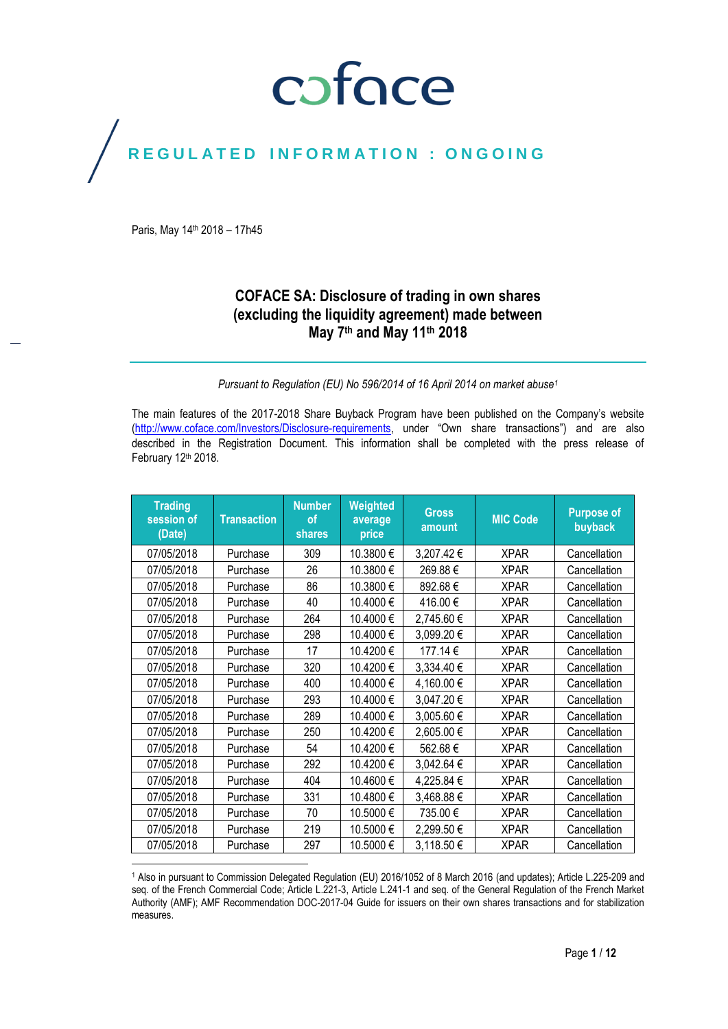## coface

## REGULATED INFORMATION : ONGOING

Paris, May 14<sup>th</sup> 2018 - 17h45

## **COFACE SA: Disclosure of trading in own shares (excluding the liquidity agreement) made between May 7th and May 11th 2018**

## *Pursuant to Regulation (EU) No 596/2014 of 16 April 2014 on market abuse<sup>1</sup>*

The main features of the 2017-2018 Share Buyback Program have been published on the Company's website [\(http://www.coface.com/Investors/Disclosure-requirements](http://www.coface.com/Investors/Disclosure-requirements), under "Own share transactions") and are also described in the Registration Document. This information shall be completed with the press release of February 12th 2018.

| <b>Trading</b><br>session of<br>(Date) | <b>Transaction</b> | <b>Number</b><br>οf<br>shares | <b>Weighted</b><br>average<br>price | <b>Gross</b><br>amount | <b>MIC Code</b> | <b>Purpose of</b><br>buyback |
|----------------------------------------|--------------------|-------------------------------|-------------------------------------|------------------------|-----------------|------------------------------|
| 07/05/2018                             | Purchase           | 309                           | 10.3800€                            | 3,207.42€              | <b>XPAR</b>     | Cancellation                 |
| 07/05/2018                             | Purchase           | 26                            | 10.3800€                            | 269.88€                | <b>XPAR</b>     | Cancellation                 |
| 07/05/2018                             | Purchase           | 86                            | 10.3800€                            | 892.68€                | <b>XPAR</b>     | Cancellation                 |
| 07/05/2018                             | Purchase           | 40                            | 10.4000€                            | 416.00€                | <b>XPAR</b>     | Cancellation                 |
| 07/05/2018                             | Purchase           | 264                           | 10.4000€                            | 2,745.60€              | <b>XPAR</b>     | Cancellation                 |
| 07/05/2018                             | Purchase           | 298                           | 10.4000€                            | 3,099.20€              | <b>XPAR</b>     | Cancellation                 |
| 07/05/2018                             | Purchase           | 17                            | 10.4200€                            | 177.14€                | <b>XPAR</b>     | Cancellation                 |
| 07/05/2018                             | Purchase           | 320                           | 10.4200€                            | 3,334.40 €             | <b>XPAR</b>     | Cancellation                 |
| 07/05/2018                             | Purchase           | 400                           | 10.4000€                            | 4,160.00€              | <b>XPAR</b>     | Cancellation                 |
| 07/05/2018                             | Purchase           | 293                           | 10.4000€                            | 3,047.20€              | <b>XPAR</b>     | Cancellation                 |
| 07/05/2018                             | Purchase           | 289                           | 10.4000€                            | 3,005.60€              | <b>XPAR</b>     | Cancellation                 |
| 07/05/2018                             | Purchase           | 250                           | 10.4200€                            | 2,605.00€              | <b>XPAR</b>     | Cancellation                 |
| 07/05/2018                             | Purchase           | 54                            | 10.4200€                            | 562.68€                | <b>XPAR</b>     | Cancellation                 |
| 07/05/2018                             | Purchase           | 292                           | 10.4200€                            | 3,042.64 €             | <b>XPAR</b>     | Cancellation                 |
| 07/05/2018                             | Purchase           | 404                           | 10.4600€                            | 4,225.84 €             | <b>XPAR</b>     | Cancellation                 |
| 07/05/2018                             | Purchase           | 331                           | 10.4800€                            | 3,468.88€              | <b>XPAR</b>     | Cancellation                 |
| 07/05/2018                             | Purchase           | 70                            | 10.5000€                            | 735.00€                | <b>XPAR</b>     | Cancellation                 |
| 07/05/2018                             | Purchase           | 219                           | 10.5000€                            | 2,299.50€              | <b>XPAR</b>     | Cancellation                 |
| 07/05/2018                             | Purchase           | 297                           | 10.5000€                            | 3,118.50€              | <b>XPAR</b>     | Cancellation                 |

<sup>1</sup> Also in pursuant to Commission Delegated Regulation (EU) 2016/1052 of 8 March 2016 (and updates); Article L.225-209 and seq. of the French Commercial Code; Article L.221-3, Article L.241-1 and seq. of the General Regulation of the French Market Authority (AMF); AMF Recommendation DOC-2017-04 Guide for issuers on their own shares transactions and for stabilization measures.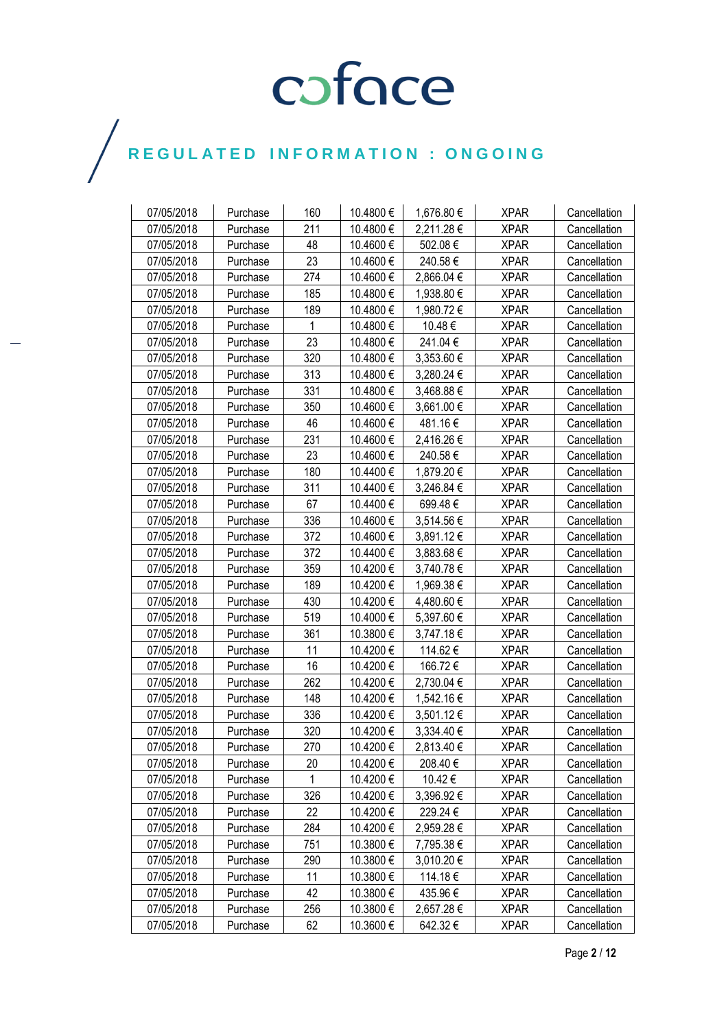| 07/05/2018 | Purchase | 160 | 10.4800 € | 1,676.80 € | <b>XPAR</b> | Cancellation |
|------------|----------|-----|-----------|------------|-------------|--------------|
| 07/05/2018 | Purchase | 211 | 10.4800€  | 2,211.28€  | <b>XPAR</b> | Cancellation |
| 07/05/2018 | Purchase | 48  | 10.4600€  | 502.08€    | <b>XPAR</b> | Cancellation |
| 07/05/2018 | Purchase | 23  | 10.4600€  | 240.58€    | <b>XPAR</b> | Cancellation |
| 07/05/2018 | Purchase | 274 | 10.4600€  | 2,866.04 € | <b>XPAR</b> | Cancellation |
| 07/05/2018 | Purchase | 185 | 10.4800 € | 1,938.80 € | <b>XPAR</b> | Cancellation |
| 07/05/2018 | Purchase | 189 | 10.4800€  | 1,980.72€  | <b>XPAR</b> | Cancellation |
| 07/05/2018 | Purchase | 1   | 10.4800 € | 10.48€     | <b>XPAR</b> | Cancellation |
| 07/05/2018 | Purchase | 23  | 10.4800€  | 241.04€    | XPAR        | Cancellation |
| 07/05/2018 | Purchase | 320 | 10.4800€  | 3,353.60 € | <b>XPAR</b> | Cancellation |
| 07/05/2018 | Purchase | 313 | 10.4800€  | 3,280.24 € | <b>XPAR</b> | Cancellation |
| 07/05/2018 | Purchase | 331 | 10.4800 € | 3,468.88 € | <b>XPAR</b> | Cancellation |
| 07/05/2018 | Purchase | 350 | 10.4600€  | 3,661.00 € | <b>XPAR</b> | Cancellation |
| 07/05/2018 | Purchase | 46  | 10.4600€  | 481.16€    | <b>XPAR</b> | Cancellation |
| 07/05/2018 | Purchase | 231 | 10.4600€  | 2,416.26€  | <b>XPAR</b> | Cancellation |
| 07/05/2018 | Purchase | 23  | 10.4600€  | 240.58€    | <b>XPAR</b> | Cancellation |
| 07/05/2018 | Purchase | 180 | 10.4400€  | 1,879.20 € | <b>XPAR</b> | Cancellation |
| 07/05/2018 | Purchase | 311 | 10.4400€  | 3,246.84 € | <b>XPAR</b> | Cancellation |
| 07/05/2018 | Purchase | 67  | 10.4400€  | 699.48€    | <b>XPAR</b> | Cancellation |
| 07/05/2018 | Purchase | 336 | 10.4600€  | 3,514.56€  | <b>XPAR</b> | Cancellation |
| 07/05/2018 | Purchase | 372 | 10.4600€  | 3,891.12€  | <b>XPAR</b> | Cancellation |
| 07/05/2018 | Purchase | 372 | 10.4400€  | 3,883.68€  | <b>XPAR</b> | Cancellation |
| 07/05/2018 | Purchase | 359 | 10.4200€  | 3,740.78€  | <b>XPAR</b> | Cancellation |
| 07/05/2018 | Purchase | 189 | 10.4200€  | 1,969.38 € | <b>XPAR</b> | Cancellation |
| 07/05/2018 | Purchase | 430 | 10.4200€  | 4,480.60 € | <b>XPAR</b> | Cancellation |
| 07/05/2018 | Purchase | 519 | 10.4000 € | 5,397.60 € | <b>XPAR</b> | Cancellation |
| 07/05/2018 | Purchase | 361 | 10.3800 € | 3,747.18€  | <b>XPAR</b> | Cancellation |
| 07/05/2018 | Purchase | 11  | 10.4200€  | 114.62€    | <b>XPAR</b> | Cancellation |
| 07/05/2018 | Purchase | 16  | 10.4200€  | 166.72€    | <b>XPAR</b> | Cancellation |
| 07/05/2018 | Purchase | 262 | 10.4200€  | 2,730.04 € | <b>XPAR</b> | Cancellation |
| 07/05/2018 | Purchase | 148 | 10.4200€  | 1,542.16 € | <b>XPAR</b> | Cancellation |
| 07/05/2018 | Purchase | 336 | 10.4200€  | 3,501.12 € | <b>XPAR</b> | Cancellation |
| 07/05/2018 | Purchase | 320 | 10.4200€  | 3,334.40 € | <b>XPAR</b> | Cancellation |
| 07/05/2018 | Purchase | 270 | 10.4200€  | 2,813.40€  | <b>XPAR</b> | Cancellation |
| 07/05/2018 | Purchase | 20  | 10.4200 € | 208.40€    | <b>XPAR</b> | Cancellation |
| 07/05/2018 | Purchase | 1   | 10.4200 € | 10.42 €    | <b>XPAR</b> | Cancellation |
| 07/05/2018 | Purchase | 326 | 10.4200 € | 3,396.92€  | <b>XPAR</b> | Cancellation |
| 07/05/2018 | Purchase | 22  | 10.4200 € | 229.24 €   | <b>XPAR</b> | Cancellation |
| 07/05/2018 | Purchase | 284 | 10.4200€  | 2,959.28€  | <b>XPAR</b> | Cancellation |
| 07/05/2018 | Purchase | 751 | 10.3800 € | 7,795.38 € | <b>XPAR</b> | Cancellation |
| 07/05/2018 | Purchase | 290 | 10.3800 € | 3,010.20 € | <b>XPAR</b> | Cancellation |
| 07/05/2018 | Purchase | 11  | 10.3800 € | 114.18€    | <b>XPAR</b> | Cancellation |
| 07/05/2018 | Purchase | 42  | 10.3800€  | 435.96€    | <b>XPAR</b> | Cancellation |
| 07/05/2018 | Purchase | 256 | 10.3800€  | 2,657.28 € | <b>XPAR</b> | Cancellation |
| 07/05/2018 | Purchase | 62  | 10.3600 € | 642.32€    | <b>XPAR</b> | Cancellation |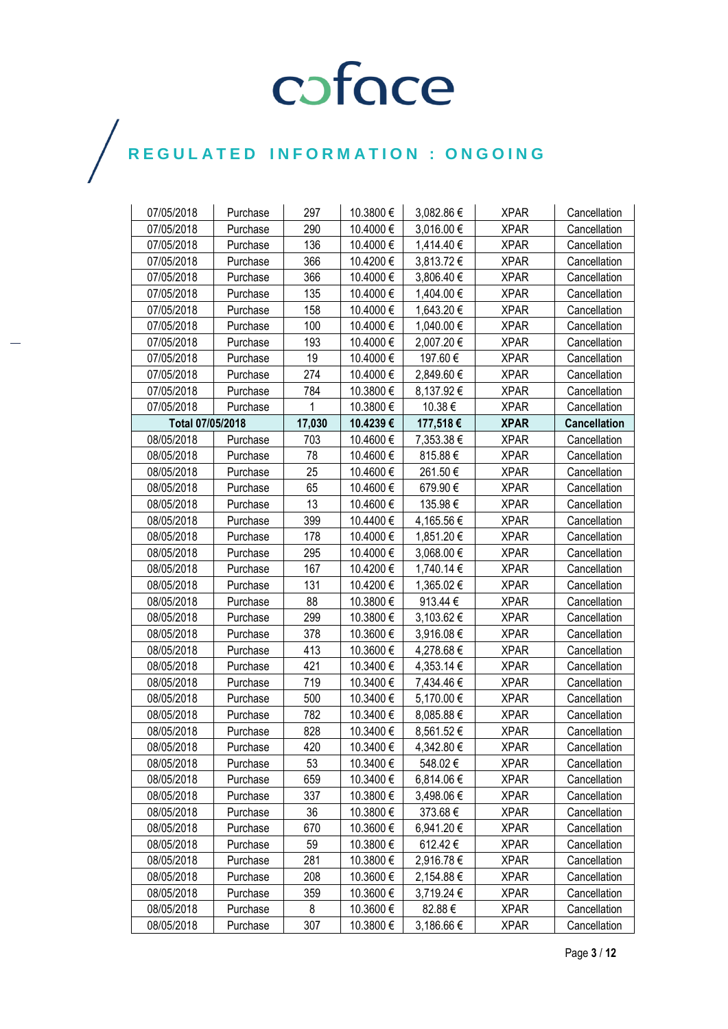| 07/05/2018       | Purchase | 297    | 10.3800 € | 3,082.86 € | <b>XPAR</b> | Cancellation        |
|------------------|----------|--------|-----------|------------|-------------|---------------------|
| 07/05/2018       | Purchase | 290    | 10.4000€  | 3,016.00 € | <b>XPAR</b> | Cancellation        |
| 07/05/2018       | Purchase | 136    | 10.4000€  | 1,414.40 € | <b>XPAR</b> | Cancellation        |
| 07/05/2018       | Purchase | 366    | 10.4200€  | 3,813.72€  | <b>XPAR</b> | Cancellation        |
| 07/05/2018       | Purchase | 366    | 10.4000€  | 3,806.40 € | <b>XPAR</b> | Cancellation        |
| 07/05/2018       | Purchase | 135    | 10.4000€  | 1,404.00 € | <b>XPAR</b> | Cancellation        |
| 07/05/2018       | Purchase | 158    | 10.4000€  | 1,643.20 € | <b>XPAR</b> | Cancellation        |
| 07/05/2018       | Purchase | 100    | 10.4000€  | 1,040.00 € | <b>XPAR</b> | Cancellation        |
| 07/05/2018       | Purchase | 193    | 10.4000€  | 2,007.20€  | <b>XPAR</b> | Cancellation        |
| 07/05/2018       | Purchase | 19     | 10.4000€  | 197.60€    | <b>XPAR</b> | Cancellation        |
| 07/05/2018       | Purchase | 274    | 10.4000€  | 2,849.60 € | <b>XPAR</b> | Cancellation        |
| 07/05/2018       | Purchase | 784    | 10.3800€  | 8,137.92 € | <b>XPAR</b> | Cancellation        |
| 07/05/2018       | Purchase | 1      | 10.3800€  | 10.38€     | <b>XPAR</b> | Cancellation        |
| Total 07/05/2018 |          | 17,030 | 10.4239€  | 177,518€   | <b>XPAR</b> | <b>Cancellation</b> |
| 08/05/2018       | Purchase | 703    | 10.4600€  | 7,353.38€  | <b>XPAR</b> | Cancellation        |
| 08/05/2018       | Purchase | 78     | 10.4600€  | 815.88€    | <b>XPAR</b> | Cancellation        |
| 08/05/2018       | Purchase | 25     | 10.4600€  | 261.50€    | <b>XPAR</b> | Cancellation        |
| 08/05/2018       | Purchase | 65     | 10.4600€  | 679.90€    | <b>XPAR</b> | Cancellation        |
| 08/05/2018       | Purchase | 13     | 10.4600€  | 135.98€    | <b>XPAR</b> | Cancellation        |
| 08/05/2018       | Purchase | 399    | 10.4400€  | 4,165.56 € | <b>XPAR</b> | Cancellation        |
| 08/05/2018       | Purchase | 178    | 10.4000 € | 1,851.20 € | <b>XPAR</b> | Cancellation        |
| 08/05/2018       | Purchase | 295    | 10.4000€  | 3,068.00 € | <b>XPAR</b> | Cancellation        |
| 08/05/2018       | Purchase | 167    | 10.4200€  | 1,740.14 € | <b>XPAR</b> | Cancellation        |
| 08/05/2018       | Purchase | 131    | 10.4200€  | 1,365.02 € | <b>XPAR</b> | Cancellation        |
| 08/05/2018       | Purchase | 88     | 10.3800€  | 913.44€    | <b>XPAR</b> | Cancellation        |
| 08/05/2018       | Purchase | 299    | 10.3800€  | 3,103.62 € | <b>XPAR</b> | Cancellation        |
| 08/05/2018       | Purchase | 378    | 10.3600€  | 3,916.08€  | <b>XPAR</b> | Cancellation        |
| 08/05/2018       | Purchase | 413    | 10.3600€  | 4,278.68 € | <b>XPAR</b> | Cancellation        |
| 08/05/2018       | Purchase | 421    | 10.3400€  | 4,353.14 € | <b>XPAR</b> | Cancellation        |
| 08/05/2018       | Purchase | 719    | 10.3400€  | 7,434.46 € | <b>XPAR</b> | Cancellation        |
| 08/05/2018       | Purchase | 500    | 10.3400€  | 5,170.00 € | <b>XPAR</b> | Cancellation        |
| 08/05/2018       | Purchase | 782    | 10.3400€  | 8,085.88€  | <b>XPAR</b> | Cancellation        |
| 08/05/2018       | Purchase | 828    | 10.3400€  | 8,561.52€  | <b>XPAR</b> | Cancellation        |
| 08/05/2018       | Purchase | 420    | 10.3400€  | 4,342.80 € | <b>XPAR</b> | Cancellation        |
| 08/05/2018       | Purchase | 53     | 10.3400 € | 548.02€    | <b>XPAR</b> | Cancellation        |
| 08/05/2018       | Purchase | 659    | 10.3400 € | 6,814.06€  | <b>XPAR</b> | Cancellation        |
| 08/05/2018       | Purchase | 337    | 10.3800 € | 3,498.06 € | <b>XPAR</b> | Cancellation        |
| 08/05/2018       | Purchase | 36     | 10.3800€  | 373.68€    | <b>XPAR</b> | Cancellation        |
| 08/05/2018       | Purchase | 670    | 10.3600€  | 6,941.20 € | <b>XPAR</b> | Cancellation        |
| 08/05/2018       | Purchase | 59     | 10.3800 € | 612.42€    | <b>XPAR</b> | Cancellation        |
| 08/05/2018       | Purchase | 281    | 10.3800 € | 2,916.78€  | <b>XPAR</b> | Cancellation        |
| 08/05/2018       | Purchase | 208    | 10.3600€  | 2,154.88 € | <b>XPAR</b> | Cancellation        |
| 08/05/2018       | Purchase | 359    | 10.3600€  | 3,719.24 € | <b>XPAR</b> | Cancellation        |
| 08/05/2018       | Purchase | 8      | 10.3600€  | 82.88€     | <b>XPAR</b> | Cancellation        |
| 08/05/2018       | Purchase | 307    | 10.3800 € | 3,186.66 € | <b>XPAR</b> | Cancellation        |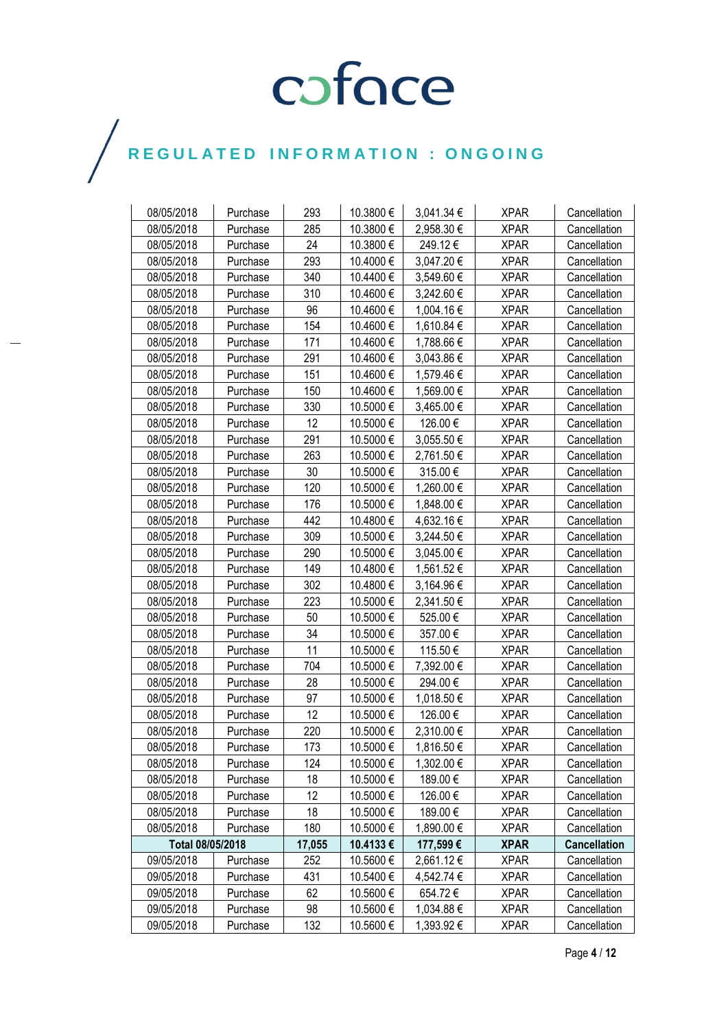| 08/05/2018       | Purchase | 293    | 10.3800 € | 3,041.34 € | <b>XPAR</b> | Cancellation        |
|------------------|----------|--------|-----------|------------|-------------|---------------------|
| 08/05/2018       | Purchase | 285    | 10.3800€  | 2,958.30 € | <b>XPAR</b> | Cancellation        |
| 08/05/2018       | Purchase | 24     | 10.3800 € | 249.12€    | <b>XPAR</b> | Cancellation        |
| 08/05/2018       | Purchase | 293    | 10.4000€  | 3,047.20 € | <b>XPAR</b> | Cancellation        |
| 08/05/2018       | Purchase | 340    | 10.4400€  | 3,549.60€  | <b>XPAR</b> | Cancellation        |
| 08/05/2018       | Purchase | 310    | 10.4600€  | 3,242.60 € | <b>XPAR</b> | Cancellation        |
| 08/05/2018       | Purchase | 96     | 10.4600€  | 1,004.16€  | <b>XPAR</b> | Cancellation        |
| 08/05/2018       | Purchase | 154    | 10.4600€  | 1,610.84 € | <b>XPAR</b> | Cancellation        |
| 08/05/2018       | Purchase | 171    | 10.4600€  | 1,788.66 € | XPAR        | Cancellation        |
| 08/05/2018       | Purchase | 291    | 10.4600€  | 3,043.86 € | <b>XPAR</b> | Cancellation        |
| 08/05/2018       | Purchase | 151    | 10.4600€  | 1,579.46 € | <b>XPAR</b> | Cancellation        |
| 08/05/2018       | Purchase | 150    | 10.4600€  | 1,569.00 € | <b>XPAR</b> | Cancellation        |
| 08/05/2018       | Purchase | 330    | 10.5000€  | 3,465.00 € | <b>XPAR</b> | Cancellation        |
| 08/05/2018       | Purchase | 12     | 10.5000€  | 126.00€    | <b>XPAR</b> | Cancellation        |
| 08/05/2018       | Purchase | 291    | 10.5000€  | 3,055.50 € | <b>XPAR</b> | Cancellation        |
| 08/05/2018       | Purchase | 263    | 10.5000€  | 2,761.50€  | <b>XPAR</b> | Cancellation        |
| 08/05/2018       | Purchase | 30     | 10.5000€  | 315.00€    | <b>XPAR</b> | Cancellation        |
| 08/05/2018       | Purchase | 120    | 10.5000€  | 1,260.00 € | <b>XPAR</b> | Cancellation        |
| 08/05/2018       | Purchase | 176    | 10.5000€  | 1,848.00 € | <b>XPAR</b> | Cancellation        |
| 08/05/2018       | Purchase | 442    | 10.4800 € | 4,632.16 € | <b>XPAR</b> | Cancellation        |
| 08/05/2018       | Purchase | 309    | 10.5000€  | 3,244.50€  | <b>XPAR</b> | Cancellation        |
| 08/05/2018       | Purchase | 290    | 10.5000€  | 3,045.00 € | <b>XPAR</b> | Cancellation        |
| 08/05/2018       | Purchase | 149    | 10.4800€  | 1,561.52€  | <b>XPAR</b> | Cancellation        |
| 08/05/2018       | Purchase | 302    | 10.4800€  | 3,164.96€  | <b>XPAR</b> | Cancellation        |
| 08/05/2018       | Purchase | 223    | 10.5000€  | 2,341.50 € | <b>XPAR</b> | Cancellation        |
| 08/05/2018       | Purchase | 50     | 10.5000€  | 525.00€    | <b>XPAR</b> | Cancellation        |
| 08/05/2018       | Purchase | 34     | 10.5000 € | 357.00€    | <b>XPAR</b> | Cancellation        |
| 08/05/2018       | Purchase | 11     | 10.5000€  | 115.50€    | <b>XPAR</b> | Cancellation        |
| 08/05/2018       | Purchase | 704    | 10.5000€  | 7,392.00 € | <b>XPAR</b> | Cancellation        |
| 08/05/2018       | Purchase | 28     | 10.5000€  | 294.00€    | <b>XPAR</b> | Cancellation        |
| 08/05/2018       | Purchase | 97     | 10.5000€  | 1,018.50 € | <b>XPAR</b> | Cancellation        |
| 08/05/2018       | Purchase | 12     | 10.5000 € | 126.00€    | <b>XPAR</b> | Cancellation        |
| 08/05/2018       | Purchase | 220    | 10.5000€  | 2,310.00 € | <b>XPAR</b> | Cancellation        |
| 08/05/2018       | Purchase | 173    | 10.5000€  | 1,816.50€  | <b>XPAR</b> | Cancellation        |
| 08/05/2018       | Purchase | 124    | 10.5000 € | 1,302.00 € | <b>XPAR</b> | Cancellation        |
| 08/05/2018       | Purchase | 18     | 10.5000 € | 189.00 €   | <b>XPAR</b> | Cancellation        |
| 08/05/2018       | Purchase | 12     | 10.5000€  | 126.00€    | <b>XPAR</b> | Cancellation        |
| 08/05/2018       | Purchase | 18     | 10.5000€  | 189.00€    | <b>XPAR</b> | Cancellation        |
| 08/05/2018       | Purchase | 180    | 10.5000 € | 1,890.00 € | <b>XPAR</b> | Cancellation        |
| Total 08/05/2018 |          | 17,055 | 10.4133€  | 177,599€   | <b>XPAR</b> | <b>Cancellation</b> |
| 09/05/2018       | Purchase | 252    | 10.5600 € | 2,661.12€  | <b>XPAR</b> | Cancellation        |
| 09/05/2018       | Purchase | 431    | 10.5400€  | 4,542.74 € | <b>XPAR</b> | Cancellation        |
| 09/05/2018       | Purchase | 62     | 10.5600€  | 654.72€    | <b>XPAR</b> | Cancellation        |
| 09/05/2018       | Purchase | 98     | 10.5600 € | 1,034.88 € | <b>XPAR</b> | Cancellation        |
| 09/05/2018       | Purchase | 132    | 10.5600 € | 1,393.92 € | <b>XPAR</b> | Cancellation        |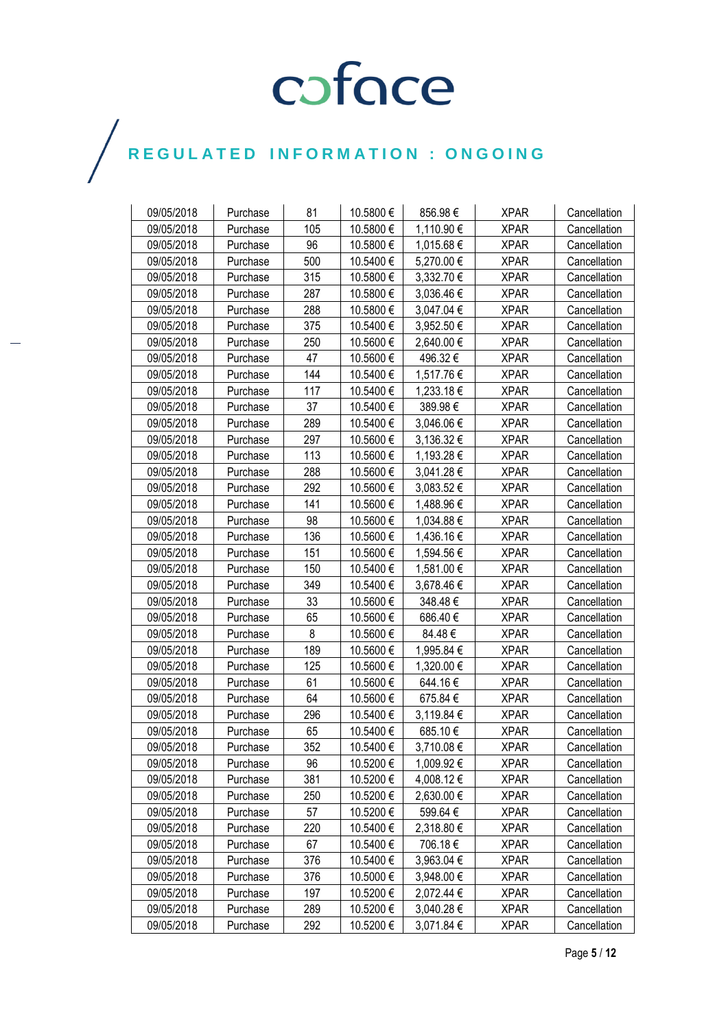| 09/05/2018 | Purchase | 81  | 10.5800 € | 856.98€    | <b>XPAR</b> | Cancellation |
|------------|----------|-----|-----------|------------|-------------|--------------|
| 09/05/2018 | Purchase | 105 | 10.5800€  | 1,110.90 € | <b>XPAR</b> | Cancellation |
| 09/05/2018 | Purchase | 96  | 10.5800€  | 1,015.68 € | <b>XPAR</b> | Cancellation |
| 09/05/2018 | Purchase | 500 | 10.5400€  | 5,270.00€  | <b>XPAR</b> | Cancellation |
| 09/05/2018 | Purchase | 315 | 10.5800€  | 3,332.70 € | <b>XPAR</b> | Cancellation |
| 09/05/2018 | Purchase | 287 | 10.5800€  | 3,036.46 € | <b>XPAR</b> | Cancellation |
| 09/05/2018 | Purchase | 288 | 10.5800€  | 3,047.04 € | <b>XPAR</b> | Cancellation |
| 09/05/2018 | Purchase | 375 | 10.5400€  | 3,952.50 € | <b>XPAR</b> | Cancellation |
| 09/05/2018 | Purchase | 250 | 10.5600€  | 2,640.00 € | <b>XPAR</b> | Cancellation |
| 09/05/2018 | Purchase | 47  | 10.5600€  | 496.32€    | <b>XPAR</b> | Cancellation |
| 09/05/2018 | Purchase | 144 | 10.5400€  | 1,517.76€  | <b>XPAR</b> | Cancellation |
| 09/05/2018 | Purchase | 117 | 10.5400€  | 1,233.18€  | <b>XPAR</b> | Cancellation |
| 09/05/2018 | Purchase | 37  | 10.5400€  | 389.98€    | <b>XPAR</b> | Cancellation |
| 09/05/2018 | Purchase | 289 | 10.5400 € | 3,046.06 € | <b>XPAR</b> | Cancellation |
| 09/05/2018 | Purchase | 297 | 10.5600€  | 3,136.32 € | <b>XPAR</b> | Cancellation |
| 09/05/2018 | Purchase | 113 | 10.5600€  | 1,193.28 € | <b>XPAR</b> | Cancellation |
| 09/05/2018 | Purchase | 288 | 10.5600 € | 3,041.28 € | <b>XPAR</b> | Cancellation |
| 09/05/2018 | Purchase | 292 | 10.5600€  | 3,083.52€  | <b>XPAR</b> | Cancellation |
| 09/05/2018 | Purchase | 141 | 10.5600€  | 1,488.96 € | <b>XPAR</b> | Cancellation |
| 09/05/2018 | Purchase | 98  | 10.5600€  | 1,034.88 € | <b>XPAR</b> | Cancellation |
| 09/05/2018 | Purchase | 136 | 10.5600€  | 1,436.16€  | <b>XPAR</b> | Cancellation |
| 09/05/2018 | Purchase | 151 | 10.5600€  | 1,594.56€  | <b>XPAR</b> | Cancellation |
| 09/05/2018 | Purchase | 150 | 10.5400€  | 1,581.00 € | <b>XPAR</b> | Cancellation |
| 09/05/2018 | Purchase | 349 | 10.5400€  | 3,678.46€  | <b>XPAR</b> | Cancellation |
| 09/05/2018 | Purchase | 33  | 10.5600€  | 348.48€    | <b>XPAR</b> | Cancellation |
| 09/05/2018 | Purchase | 65  | 10.5600€  | 686.40€    | <b>XPAR</b> | Cancellation |
| 09/05/2018 | Purchase | 8   | 10.5600€  | 84.48€     | <b>XPAR</b> | Cancellation |
| 09/05/2018 | Purchase | 189 | 10.5600€  | 1,995.84 € | <b>XPAR</b> | Cancellation |
| 09/05/2018 | Purchase | 125 | 10.5600€  | 1,320.00 € | <b>XPAR</b> | Cancellation |
| 09/05/2018 | Purchase | 61  | 10.5600€  | 644.16€    | <b>XPAR</b> | Cancellation |
| 09/05/2018 | Purchase | 64  | 10.5600€  | 675.84€    | <b>XPAR</b> | Cancellation |
| 09/05/2018 | Purchase | 296 | 10.5400 € | 3,119.84 € | <b>XPAR</b> | Cancellation |
| 09/05/2018 | Purchase | 65  | 10.5400€  | 685.10€    | <b>XPAR</b> | Cancellation |
| 09/05/2018 | Purchase | 352 | 10.5400€  | 3,710.08€  | <b>XPAR</b> | Cancellation |
| 09/05/2018 | Purchase | 96  | 10.5200€  | 1,009.92 € | <b>XPAR</b> | Cancellation |
| 09/05/2018 | Purchase | 381 | 10.5200€  | 4,008.12 € | <b>XPAR</b> | Cancellation |
| 09/05/2018 | Purchase | 250 | 10.5200€  | 2,630.00 € | <b>XPAR</b> | Cancellation |
| 09/05/2018 | Purchase | 57  | 10.5200 € | 599.64€    | <b>XPAR</b> | Cancellation |
| 09/05/2018 | Purchase | 220 | 10.5400€  | 2,318.80€  | <b>XPAR</b> | Cancellation |
| 09/05/2018 | Purchase | 67  | 10.5400€  | 706.18€    | <b>XPAR</b> | Cancellation |
| 09/05/2018 | Purchase | 376 | 10.5400 € | 3,963.04 € | <b>XPAR</b> | Cancellation |
| 09/05/2018 | Purchase | 376 | 10.5000€  | 3,948.00 € | <b>XPAR</b> | Cancellation |
| 09/05/2018 | Purchase | 197 | 10.5200€  | 2,072.44 € | <b>XPAR</b> | Cancellation |
| 09/05/2018 | Purchase | 289 | 10.5200€  | 3,040.28 € | <b>XPAR</b> | Cancellation |
| 09/05/2018 | Purchase | 292 | 10.5200€  | 3,071.84 € | <b>XPAR</b> | Cancellation |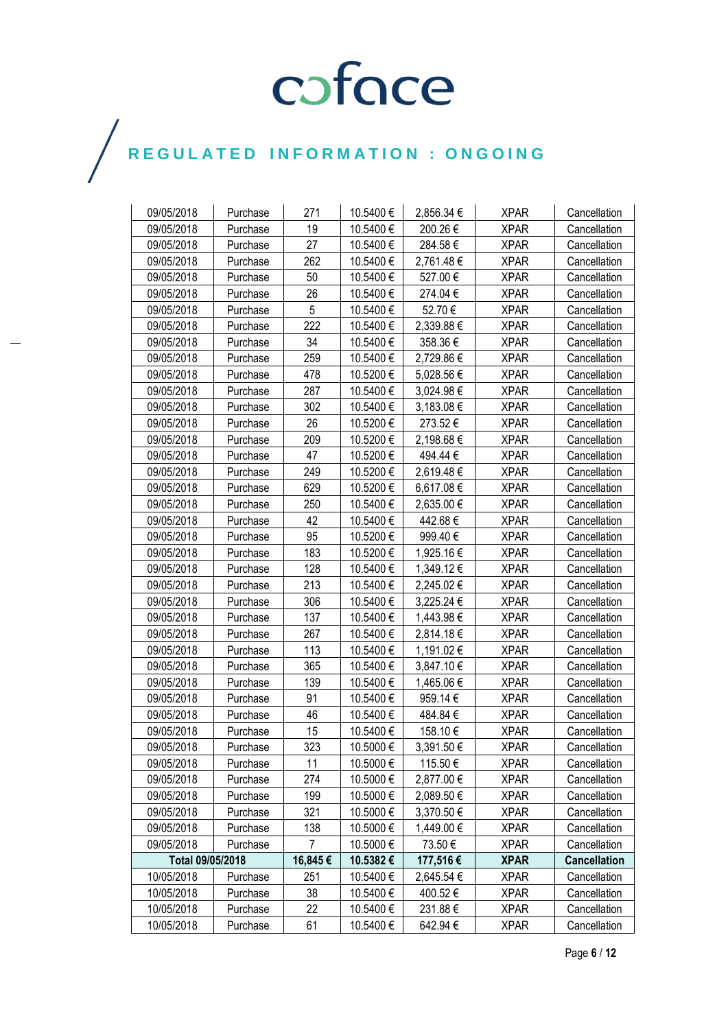| 09/05/2018       | Purchase | 271            | 10.5400€  | 2,856.34 € | <b>XPAR</b> | Cancellation        |
|------------------|----------|----------------|-----------|------------|-------------|---------------------|
| 09/05/2018       | Purchase | 19             | 10.5400€  | 200.26€    | <b>XPAR</b> | Cancellation        |
| 09/05/2018       | Purchase | 27             | 10.5400€  | 284.58€    | <b>XPAR</b> | Cancellation        |
| 09/05/2018       | Purchase | 262            | 10.5400€  | 2,761.48€  | <b>XPAR</b> | Cancellation        |
| 09/05/2018       | Purchase | 50             | 10.5400€  | 527.00€    | <b>XPAR</b> | Cancellation        |
| 09/05/2018       | Purchase | 26             | 10.5400 € | 274.04€    | <b>XPAR</b> | Cancellation        |
| 09/05/2018       | Purchase | 5              | 10.5400€  | 52.70€     | <b>XPAR</b> | Cancellation        |
| 09/05/2018       | Purchase | 222            | 10.5400€  | 2,339.88€  | <b>XPAR</b> | Cancellation        |
| 09/05/2018       | Purchase | 34             | 10.5400€  | 358.36€    | <b>XPAR</b> | Cancellation        |
| 09/05/2018       | Purchase | 259            | 10.5400€  | 2,729.86€  | <b>XPAR</b> | Cancellation        |
| 09/05/2018       | Purchase | 478            | 10.5200€  | 5,028.56 € | <b>XPAR</b> | Cancellation        |
| 09/05/2018       | Purchase | 287            | 10.5400 € | 3,024.98 € | <b>XPAR</b> | Cancellation        |
| 09/05/2018       | Purchase | 302            | 10.5400€  | 3,183.08 € | <b>XPAR</b> | Cancellation        |
| 09/05/2018       | Purchase | 26             | 10.5200€  | 273.52€    | <b>XPAR</b> | Cancellation        |
| 09/05/2018       | Purchase | 209            | 10.5200€  | 2,198.68€  | <b>XPAR</b> | Cancellation        |
| 09/05/2018       | Purchase | 47             | 10.5200€  | 494.44€    | <b>XPAR</b> | Cancellation        |
| 09/05/2018       | Purchase | 249            | 10.5200€  | 2,619.48€  | <b>XPAR</b> | Cancellation        |
| 09/05/2018       | Purchase | 629            | 10.5200€  | 6,617.08 € | <b>XPAR</b> | Cancellation        |
| 09/05/2018       | Purchase | 250            | 10.5400€  | 2,635.00 € | <b>XPAR</b> | Cancellation        |
| 09/05/2018       | Purchase | 42             | 10.5400€  | 442.68€    | <b>XPAR</b> | Cancellation        |
| 09/05/2018       | Purchase | 95             | 10.5200€  | 999.40€    | <b>XPAR</b> | Cancellation        |
| 09/05/2018       | Purchase | 183            | 10.5200€  | 1,925.16 € | <b>XPAR</b> | Cancellation        |
| 09/05/2018       | Purchase | 128            | 10.5400€  | 1,349.12 € | <b>XPAR</b> | Cancellation        |
| 09/05/2018       | Purchase | 213            | 10.5400 € | 2,245.02€  | <b>XPAR</b> | Cancellation        |
| 09/05/2018       | Purchase | 306            | 10.5400€  | 3,225.24 € | <b>XPAR</b> | Cancellation        |
| 09/05/2018       | Purchase | 137            | 10.5400€  | 1,443.98 € | <b>XPAR</b> | Cancellation        |
| 09/05/2018       | Purchase | 267            | 10.5400€  | 2,814.18€  | <b>XPAR</b> | Cancellation        |
| 09/05/2018       | Purchase | 113            | 10.5400€  | 1,191.02 € | <b>XPAR</b> | Cancellation        |
| 09/05/2018       | Purchase | 365            | 10.5400€  | 3,847.10 € | <b>XPAR</b> | Cancellation        |
| 09/05/2018       | Purchase | 139            | 10.5400€  | 1,465.06 € | <b>XPAR</b> | Cancellation        |
| 09/05/2018       | Purchase | 91             | 10.5400 € | 959.14€    | <b>XPAR</b> | Cancellation        |
| 09/05/2018       | Purchase | 46             | 10.5400€  | 484.84€    | <b>XPAR</b> | Cancellation        |
| 09/05/2018       | Purchase | 15             | 10.5400€  | 158.10€    | <b>XPAR</b> | Cancellation        |
| 09/05/2018       | Purchase | 323            | 10.5000€  | 3,391.50€  | <b>XPAR</b> | Cancellation        |
| 09/05/2018       | Purchase | 11             | 10.5000 € | 115.50€    | <b>XPAR</b> | Cancellation        |
| 09/05/2018       | Purchase | 274            | 10.5000€  | 2,877.00 € | <b>XPAR</b> | Cancellation        |
| 09/05/2018       | Purchase | 199            | 10.5000 € | 2,089.50€  | <b>XPAR</b> | Cancellation        |
| 09/05/2018       | Purchase | 321            | 10.5000 € | 3,370.50 € | <b>XPAR</b> | Cancellation        |
| 09/05/2018       | Purchase | 138            | 10.5000€  | 1,449.00 € | <b>XPAR</b> | Cancellation        |
| 09/05/2018       | Purchase | $\overline{7}$ | 10.5000€  | 73.50 €    | <b>XPAR</b> | Cancellation        |
| Total 09/05/2018 |          | 16,845€        | 10.5382€  | 177,516€   | <b>XPAR</b> | <b>Cancellation</b> |
| 10/05/2018       | Purchase | 251            | 10.5400 € | 2,645.54 € | <b>XPAR</b> | Cancellation        |
| 10/05/2018       | Purchase | 38             | 10.5400 € | 400.52€    | <b>XPAR</b> | Cancellation        |
| 10/05/2018       | Purchase | 22             | 10.5400 € | 231.88€    | <b>XPAR</b> | Cancellation        |
| 10/05/2018       | Purchase | 61             | 10.5400€  | 642.94€    | <b>XPAR</b> | Cancellation        |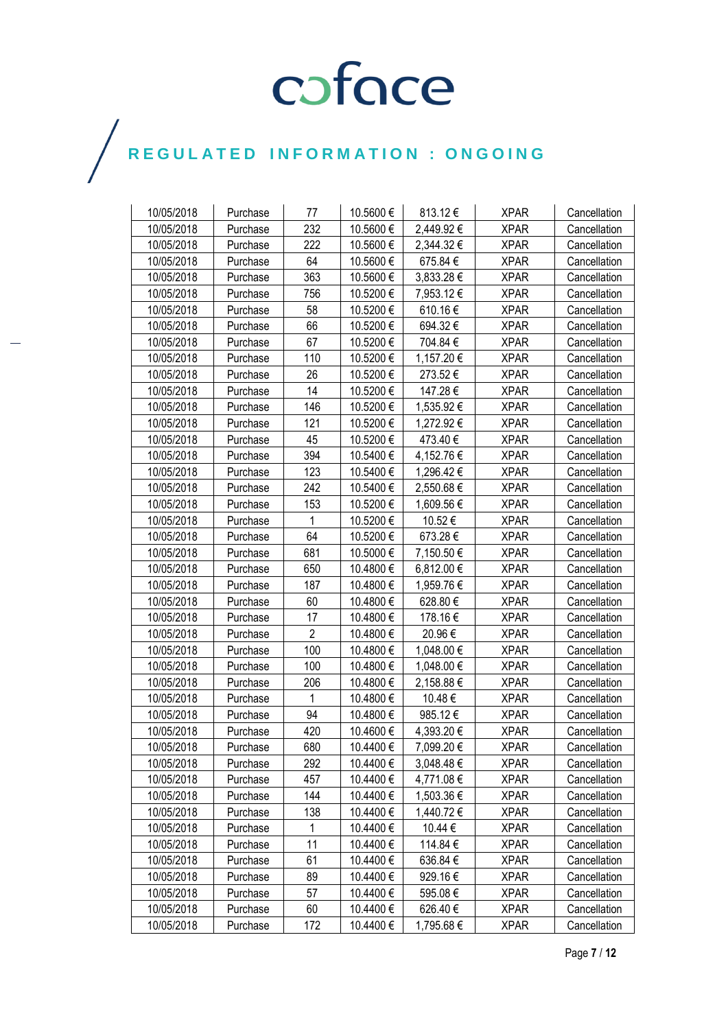| 10/05/2018 | Purchase | 77             | 10.5600 € | 813.12€        | <b>XPAR</b> | Cancellation |
|------------|----------|----------------|-----------|----------------|-------------|--------------|
| 10/05/2018 | Purchase | 232            | 10.5600€  | 2,449.92 €     | <b>XPAR</b> | Cancellation |
| 10/05/2018 | Purchase | 222            | 10.5600€  | 2,344.32€      | <b>XPAR</b> | Cancellation |
| 10/05/2018 | Purchase | 64             | 10.5600€  | 675.84€        | <b>XPAR</b> | Cancellation |
| 10/05/2018 | Purchase | 363            | 10.5600€  | 3,833.28 €     | <b>XPAR</b> | Cancellation |
| 10/05/2018 | Purchase | 756            | 10.5200€  | 7,953.12 €     | <b>XPAR</b> | Cancellation |
| 10/05/2018 | Purchase | 58             | 10.5200€  | 610.16€        | <b>XPAR</b> | Cancellation |
| 10/05/2018 | Purchase | 66             | 10.5200€  | 694.32€        | <b>XPAR</b> | Cancellation |
| 10/05/2018 | Purchase | 67             | 10.5200€  | 704.84€        | <b>XPAR</b> | Cancellation |
| 10/05/2018 | Purchase | 110            | 10.5200€  | 1,157.20 €     | <b>XPAR</b> | Cancellation |
| 10/05/2018 | Purchase | 26             | 10.5200€  | 273.52€        | <b>XPAR</b> | Cancellation |
| 10/05/2018 | Purchase | 14             | 10.5200 € | 147.28€        | <b>XPAR</b> | Cancellation |
| 10/05/2018 | Purchase | 146            | 10.5200€  | 1,535.92 €     | <b>XPAR</b> | Cancellation |
| 10/05/2018 | Purchase | 121            | 10.5200€  | 1,272.92 €     | <b>XPAR</b> | Cancellation |
| 10/05/2018 | Purchase | 45             | 10.5200€  | 473.40€        | <b>XPAR</b> | Cancellation |
| 10/05/2018 | Purchase | 394            | 10.5400 € | 4,152.76 €     | <b>XPAR</b> | Cancellation |
| 10/05/2018 | Purchase | 123            | 10.5400 € | 1,296.42€      | <b>XPAR</b> | Cancellation |
| 10/05/2018 | Purchase | 242            | 10.5400 € | 2,550.68€      | <b>XPAR</b> | Cancellation |
| 10/05/2018 | Purchase | 153            | 10.5200€  | 1,609.56 €     | <b>XPAR</b> | Cancellation |
| 10/05/2018 | Purchase | 1              | 10.5200€  | 10.52€         | <b>XPAR</b> | Cancellation |
| 10/05/2018 | Purchase | 64             | 10.5200€  | 673.28€        | <b>XPAR</b> | Cancellation |
| 10/05/2018 | Purchase | 681            | 10.5000€  | 7,150.50 €     | <b>XPAR</b> | Cancellation |
| 10/05/2018 | Purchase | 650            | 10.4800 € | 6,812.00 €     | <b>XPAR</b> | Cancellation |
| 10/05/2018 | Purchase | 187            | 10.4800€  | 1,959.76 €     | <b>XPAR</b> | Cancellation |
| 10/05/2018 | Purchase | 60             | 10.4800€  | 628.80€        | <b>XPAR</b> | Cancellation |
| 10/05/2018 | Purchase | 17             | 10.4800€  | 178.16€        | <b>XPAR</b> | Cancellation |
| 10/05/2018 | Purchase | $\overline{2}$ | 10.4800€  | 20.96€         | <b>XPAR</b> | Cancellation |
| 10/05/2018 | Purchase | 100            | 10.4800€  | 1,048.00 €     | <b>XPAR</b> | Cancellation |
| 10/05/2018 | Purchase | 100            | 10.4800€  | 1,048.00 €     | <b>XPAR</b> | Cancellation |
| 10/05/2018 | Purchase | 206            | 10.4800€  | 2,158.88 €     | <b>XPAR</b> | Cancellation |
| 10/05/2018 | Purchase | 1              | 10.4800 € | 10.48€         | <b>XPAR</b> | Cancellation |
| 10/05/2018 | Purchase | 94             | 10.4800€  | 985.12€        | <b>XPAR</b> | Cancellation |
| 10/05/2018 | Purchase | 420            | 10.4600€  | 4,393.20€      | <b>XPAR</b> | Cancellation |
| 10/05/2018 | Purchase | 680            | 10.4400€  | 7,099.20€      | <b>XPAR</b> | Cancellation |
| 10/05/2018 | Purchase | 292            | 10.4400 € | $3,048.48 \in$ | <b>XPAR</b> | Cancellation |
| 10/05/2018 | Purchase | 457            | 10.4400 € | 4,771.08 €     | <b>XPAR</b> | Cancellation |
| 10/05/2018 | Purchase | 144            | 10.4400 € | 1,503.36 €     | <b>XPAR</b> | Cancellation |
| 10/05/2018 | Purchase | 138            | 10.4400 € | 1,440.72€      | <b>XPAR</b> | Cancellation |
| 10/05/2018 | Purchase | $\mathbf{1}$   | 10.4400 € | 10.44 €        | <b>XPAR</b> | Cancellation |
| 10/05/2018 | Purchase | 11             | 10.4400 € | 114.84 €       | <b>XPAR</b> | Cancellation |
| 10/05/2018 | Purchase | 61             | 10.4400 € | 636.84€        | <b>XPAR</b> | Cancellation |
| 10/05/2018 | Purchase | 89             | 10.4400 € | 929.16€        | <b>XPAR</b> | Cancellation |
| 10/05/2018 | Purchase | 57             | 10.4400 € | 595.08€        | <b>XPAR</b> | Cancellation |
| 10/05/2018 | Purchase | 60             | 10.4400 € | 626.40€        | <b>XPAR</b> | Cancellation |
| 10/05/2018 | Purchase | 172            | 10.4400 € | 1,795.68 €     | <b>XPAR</b> | Cancellation |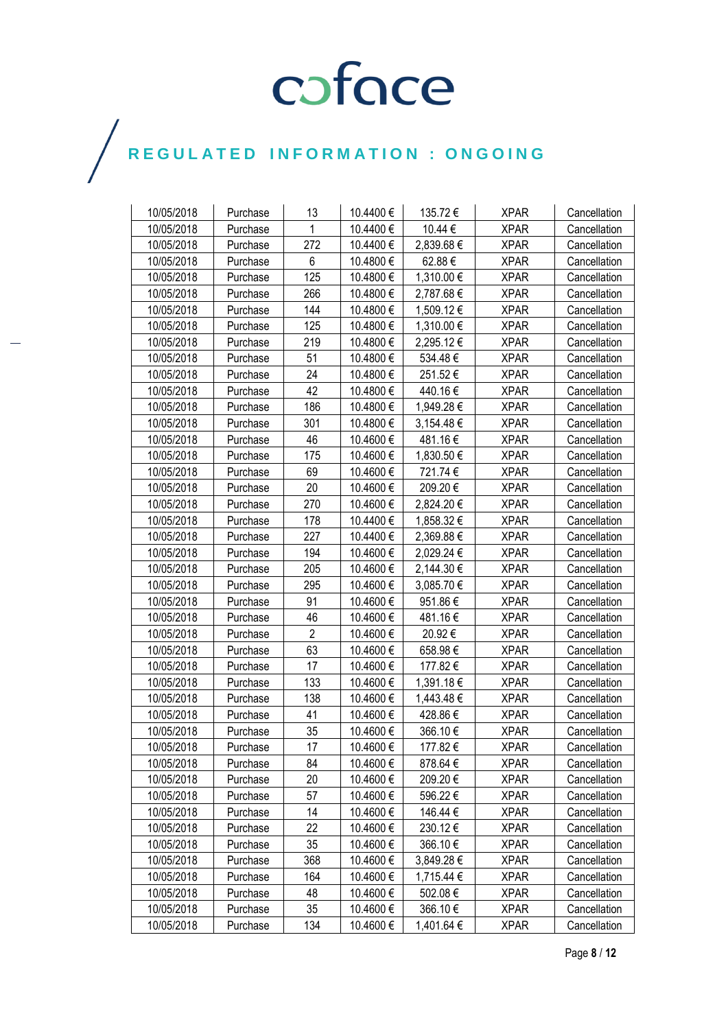| 10/05/2018 | Purchase | 13             | 10.4400 € | 135.72€    | <b>XPAR</b> | Cancellation |
|------------|----------|----------------|-----------|------------|-------------|--------------|
| 10/05/2018 | Purchase | 1              | 10.4400€  | 10.44 €    | <b>XPAR</b> | Cancellation |
| 10/05/2018 | Purchase | 272            | 10.4400€  | 2,839.68€  | <b>XPAR</b> | Cancellation |
| 10/05/2018 | Purchase | 6              | 10.4800€  | 62.88€     | <b>XPAR</b> | Cancellation |
| 10/05/2018 | Purchase | 125            | 10.4800€  | 1,310.00 € | <b>XPAR</b> | Cancellation |
| 10/05/2018 | Purchase | 266            | 10.4800€  | 2,787.68€  | <b>XPAR</b> | Cancellation |
| 10/05/2018 | Purchase | 144            | 10.4800€  | 1,509.12€  | <b>XPAR</b> | Cancellation |
| 10/05/2018 | Purchase | 125            | 10.4800 € | 1,310.00 € | <b>XPAR</b> | Cancellation |
| 10/05/2018 | Purchase | 219            | 10.4800€  | 2,295.12€  | <b>XPAR</b> | Cancellation |
| 10/05/2018 | Purchase | 51             | 10.4800€  | 534.48€    | <b>XPAR</b> | Cancellation |
| 10/05/2018 | Purchase | 24             | 10.4800€  | 251.52€    | <b>XPAR</b> | Cancellation |
| 10/05/2018 | Purchase | 42             | 10.4800 € | 440.16€    | <b>XPAR</b> | Cancellation |
| 10/05/2018 | Purchase | 186            | 10.4800€  | 1,949.28 € | <b>XPAR</b> | Cancellation |
| 10/05/2018 | Purchase | 301            | 10.4800€  | 3,154.48 € | <b>XPAR</b> | Cancellation |
| 10/05/2018 | Purchase | 46             | 10.4600€  | 481.16€    | <b>XPAR</b> | Cancellation |
| 10/05/2018 | Purchase | 175            | 10.4600€  | 1,830.50 € | <b>XPAR</b> | Cancellation |
| 10/05/2018 | Purchase | 69             | 10.4600 € | 721.74€    | <b>XPAR</b> | Cancellation |
| 10/05/2018 | Purchase | 20             | 10.4600€  | 209.20€    | <b>XPAR</b> | Cancellation |
| 10/05/2018 | Purchase | 270            | 10.4600€  | 2,824.20 € | <b>XPAR</b> | Cancellation |
| 10/05/2018 | Purchase | 178            | 10.4400€  | 1,858.32 € | <b>XPAR</b> | Cancellation |
| 10/05/2018 | Purchase | 227            | 10.4400 € | 2,369.88€  | <b>XPAR</b> | Cancellation |
| 10/05/2018 | Purchase | 194            | 10.4600€  | 2,029.24 € | <b>XPAR</b> | Cancellation |
| 10/05/2018 | Purchase | 205            | 10.4600€  | 2,144.30 € | <b>XPAR</b> | Cancellation |
| 10/05/2018 | Purchase | 295            | 10.4600€  | 3,085.70 € | <b>XPAR</b> | Cancellation |
| 10/05/2018 | Purchase | 91             | 10.4600€  | 951.86€    | <b>XPAR</b> | Cancellation |
| 10/05/2018 | Purchase | 46             | 10.4600€  | 481.16€    | <b>XPAR</b> | Cancellation |
| 10/05/2018 | Purchase | $\overline{2}$ | 10.4600€  | 20.92€     | <b>XPAR</b> | Cancellation |
| 10/05/2018 | Purchase | 63             | 10.4600€  | 658.98€    | <b>XPAR</b> | Cancellation |
| 10/05/2018 | Purchase | 17             | 10.4600€  | 177.82€    | <b>XPAR</b> | Cancellation |
| 10/05/2018 | Purchase | 133            | 10.4600€  | 1,391.18 € | <b>XPAR</b> | Cancellation |
| 10/05/2018 | Purchase | 138            | 10.4600€  | 1,443.48 € | <b>XPAR</b> | Cancellation |
| 10/05/2018 | Purchase | 41             | 10.4600 € | 428.86€    | <b>XPAR</b> | Cancellation |
| 10/05/2018 | Purchase | 35             | 10.4600€  | 366.10€    | <b>XPAR</b> | Cancellation |
| 10/05/2018 | Purchase | 17             | 10.4600€  | 177.82€    | <b>XPAR</b> | Cancellation |
| 10/05/2018 | Purchase | 84             | 10.4600 € | 878.64€    | <b>XPAR</b> | Cancellation |
| 10/05/2018 | Purchase | 20             | 10.4600€  | 209.20€    | <b>XPAR</b> | Cancellation |
| 10/05/2018 | Purchase | 57             | 10.4600€  | 596.22€    | <b>XPAR</b> | Cancellation |
| 10/05/2018 | Purchase | 14             | 10.4600€  | 146.44 €   | <b>XPAR</b> | Cancellation |
| 10/05/2018 | Purchase | 22             | 10.4600 € | 230.12€    | <b>XPAR</b> | Cancellation |
| 10/05/2018 | Purchase | 35             | 10.4600 € | 366.10€    | <b>XPAR</b> | Cancellation |
| 10/05/2018 | Purchase | 368            | 10.4600 € | 3,849.28 € | <b>XPAR</b> | Cancellation |
| 10/05/2018 | Purchase | 164            | 10.4600€  | 1,715.44 € | <b>XPAR</b> | Cancellation |
| 10/05/2018 | Purchase | 48             | 10.4600€  | 502.08€    | <b>XPAR</b> | Cancellation |
| 10/05/2018 | Purchase | 35             | 10.4600 € | 366.10€    | <b>XPAR</b> | Cancellation |
| 10/05/2018 | Purchase | 134            | 10.4600 € | 1,401.64 € | <b>XPAR</b> | Cancellation |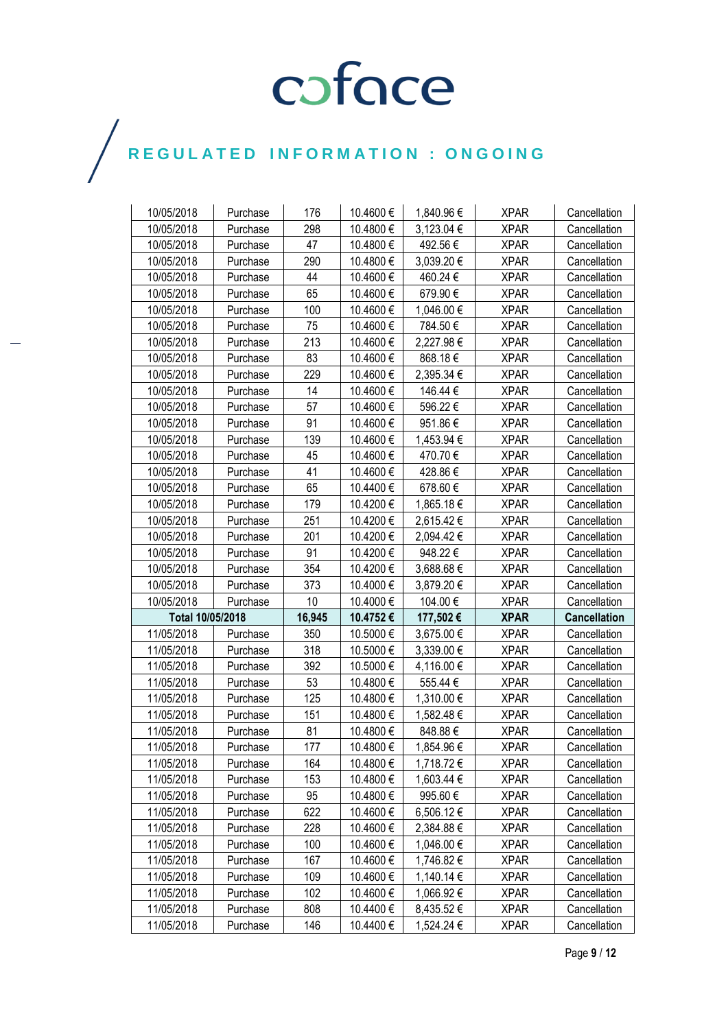| 10/05/2018               | Purchase | 176        | 10.4600 €             | 1,840.96€               | <b>XPAR</b>                | Cancellation                 |
|--------------------------|----------|------------|-----------------------|-------------------------|----------------------------|------------------------------|
| 10/05/2018               | Purchase | 298        | 10.4800€              | 3,123.04 €              | <b>XPAR</b>                | Cancellation                 |
| 10/05/2018               | Purchase | 47         | 10.4800€              | 492.56€                 | <b>XPAR</b>                | Cancellation                 |
| 10/05/2018               | Purchase | 290        | 10.4800€              | 3,039.20€               | <b>XPAR</b>                | Cancellation                 |
| 10/05/2018               | Purchase | 44         | 10.4600€              | 460.24€                 | <b>XPAR</b>                | Cancellation                 |
| 10/05/2018               | Purchase | 65         | 10.4600€              | 679.90€                 | <b>XPAR</b>                | Cancellation                 |
| 10/05/2018               | Purchase | 100        | 10.4600€              | 1,046.00 €              | <b>XPAR</b>                | Cancellation                 |
| 10/05/2018               | Purchase | 75         | 10.4600€              | 784.50€                 | <b>XPAR</b>                | Cancellation                 |
| 10/05/2018               | Purchase | 213        | 10.4600€              | 2,227.98€               | <b>XPAR</b>                | Cancellation                 |
| 10/05/2018               | Purchase | 83         | 10.4600€              | 868.18€                 | <b>XPAR</b>                | Cancellation                 |
| 10/05/2018               | Purchase | 229        | 10.4600€              | 2,395.34 €              | <b>XPAR</b>                | Cancellation                 |
| 10/05/2018               | Purchase | 14         | 10.4600€              | 146.44 €                | <b>XPAR</b>                | Cancellation                 |
| 10/05/2018               | Purchase | 57         | 10.4600€              | 596.22€                 | <b>XPAR</b>                | Cancellation                 |
| 10/05/2018               | Purchase | 91         | 10.4600€              | 951.86€                 | <b>XPAR</b>                | Cancellation                 |
| 10/05/2018               | Purchase | 139        | 10.4600€              | 1,453.94 €              | <b>XPAR</b>                | Cancellation                 |
| 10/05/2018               | Purchase | 45         | 10.4600€              | 470.70€                 | <b>XPAR</b>                | Cancellation                 |
| 10/05/2018               | Purchase | 41         | 10.4600€              | 428.86€                 | <b>XPAR</b>                | Cancellation                 |
| 10/05/2018               | Purchase | 65         | 10.4400€              | 678.60€                 | <b>XPAR</b>                | Cancellation                 |
| 10/05/2018               | Purchase | 179        | 10.4200€              | 1,865.18 €              | <b>XPAR</b>                | Cancellation                 |
| 10/05/2018               | Purchase | 251        | 10.4200€              | 2,615.42€               | <b>XPAR</b>                | Cancellation                 |
| 10/05/2018               | Purchase | 201        | 10.4200€              | 2,094.42€               | <b>XPAR</b>                | Cancellation                 |
| 10/05/2018               | Purchase | 91         | 10.4200€              | 948.22€                 | <b>XPAR</b>                | Cancellation                 |
|                          |          |            |                       |                         |                            |                              |
|                          |          |            |                       |                         |                            |                              |
| 10/05/2018<br>10/05/2018 | Purchase | 354<br>373 | 10.4200€<br>10.4000€  | 3,688.68€<br>3,879.20€  | <b>XPAR</b><br><b>XPAR</b> | Cancellation<br>Cancellation |
| 10/05/2018               | Purchase | 10         | 10.4000€              | 104.00€                 | <b>XPAR</b>                | Cancellation                 |
| Total 10/05/2018         | Purchase | 16,945     | 10.4752€              |                         | <b>XPAR</b>                | <b>Cancellation</b>          |
| 11/05/2018               | Purchase | 350        | 10.5000€              | 177,502 €<br>3,675.00 € | <b>XPAR</b>                | Cancellation                 |
| 11/05/2018               | Purchase | 318        | 10.5000€              | 3,339.00 €              | <b>XPAR</b>                | Cancellation                 |
| 11/05/2018               | Purchase | 392        | 10.5000€              | 4,116.00 €              | <b>XPAR</b>                | Cancellation                 |
| 11/05/2018               | Purchase | 53         | 10.4800€              | 555.44€                 | <b>XPAR</b>                | Cancellation                 |
| 11/05/2018               | Purchase | 125        | 10.4800€              | 1,310.00 €              | <b>XPAR</b>                | Cancellation                 |
| 11/05/2018               | Purchase | 151        | 10.4800€              | 1,582.48 €              | <b>XPAR</b>                | Cancellation                 |
| 11/05/2018               | Purchase | 81         | 10.4800€              | 848.88€                 | <b>XPAR</b>                | Cancellation                 |
| 11/05/2018               | Purchase | 177        | 10.4800€              | 1,854.96 €              | <b>XPAR</b>                | Cancellation                 |
| 11/05/2018               | Purchase | 164        | 10.4800 €             | 1,718.72 €              | <b>XPAR</b>                | Cancellation                 |
| 11/05/2018               | Purchase | 153        | 10.4800 €             | 1,603.44 €              | <b>XPAR</b>                | Cancellation                 |
| 11/05/2018               | Purchase | 95         | 10.4800€              | 995.60€                 | <b>XPAR</b>                | Cancellation                 |
| 11/05/2018               | Purchase | 622        | 10.4600€              | 6,506.12€               | <b>XPAR</b>                | Cancellation                 |
| 11/05/2018               | Purchase | 228        | 10.4600€              | 2,384.88€               | <b>XPAR</b>                | Cancellation                 |
| 11/05/2018               | Purchase | 100        | 10.4600 €             | 1,046.00 €              | <b>XPAR</b>                | Cancellation                 |
| 11/05/2018               | Purchase | 167        | 10.4600 €             | 1,746.82 €              | <b>XPAR</b>                | Cancellation                 |
| 11/05/2018               | Purchase | 109        | 10.4600€              | 1,140.14 €              | <b>XPAR</b>                | Cancellation                 |
| 11/05/2018               | Purchase | 102        | 10.4600€              | 1,066.92 €              | <b>XPAR</b>                | Cancellation                 |
| 11/05/2018               | Purchase | 808        | 10.4400 €<br>10.4400€ | 8,435.52 €              | <b>XPAR</b>                | Cancellation                 |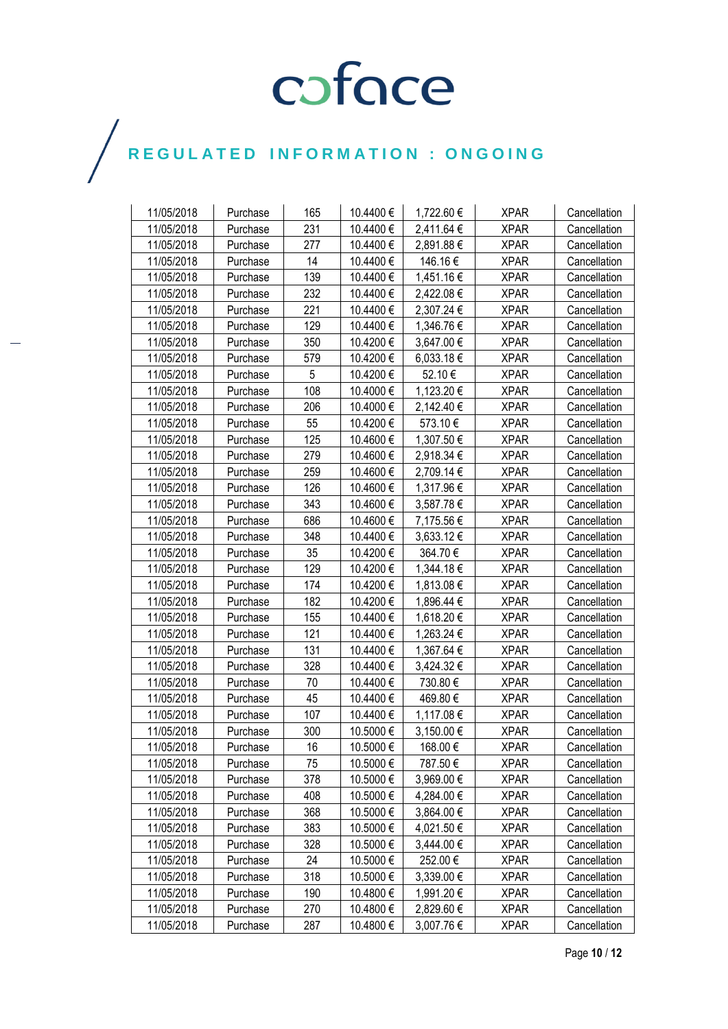| 11/05/2018 | Purchase | 165 | 10.4400 € | 1,722.60€  | <b>XPAR</b> | Cancellation |
|------------|----------|-----|-----------|------------|-------------|--------------|
| 11/05/2018 | Purchase | 231 | 10.4400€  | 2,411.64 € | <b>XPAR</b> | Cancellation |
| 11/05/2018 | Purchase | 277 | 10.4400€  | 2,891.88€  | <b>XPAR</b> | Cancellation |
| 11/05/2018 | Purchase | 14  | 10.4400€  | 146.16€    | <b>XPAR</b> | Cancellation |
| 11/05/2018 | Purchase | 139 | 10.4400€  | 1,451.16 € | <b>XPAR</b> | Cancellation |
| 11/05/2018 | Purchase | 232 | 10.4400 € | 2,422.08 € | <b>XPAR</b> | Cancellation |
| 11/05/2018 | Purchase | 221 | 10.4400€  | 2,307.24 € | <b>XPAR</b> | Cancellation |
| 11/05/2018 | Purchase | 129 | 10.4400€  | 1,346.76 € | <b>XPAR</b> | Cancellation |
| 11/05/2018 | Purchase | 350 | 10.4200€  | 3,647.00 € | <b>XPAR</b> | Cancellation |
| 11/05/2018 | Purchase | 579 | 10.4200€  | 6,033.18 € | <b>XPAR</b> | Cancellation |
| 11/05/2018 | Purchase | 5   | 10.4200€  | 52.10€     | <b>XPAR</b> | Cancellation |
| 11/05/2018 | Purchase | 108 | 10.4000 € | 1,123.20 € | <b>XPAR</b> | Cancellation |
| 11/05/2018 | Purchase | 206 | 10.4000 € | 2,142.40 € | <b>XPAR</b> | Cancellation |
| 11/05/2018 | Purchase | 55  | 10.4200€  | 573.10€    | <b>XPAR</b> | Cancellation |
| 11/05/2018 | Purchase | 125 | 10.4600€  | 1,307.50 € | <b>XPAR</b> | Cancellation |
| 11/05/2018 | Purchase | 279 | 10.4600€  | 2,918.34 € | <b>XPAR</b> | Cancellation |
| 11/05/2018 | Purchase | 259 | 10.4600€  | 2,709.14 € | <b>XPAR</b> | Cancellation |
| 11/05/2018 | Purchase | 126 | 10.4600€  | 1,317.96 € | <b>XPAR</b> | Cancellation |
| 11/05/2018 | Purchase | 343 | 10.4600€  | 3,587.78€  | <b>XPAR</b> | Cancellation |
| 11/05/2018 | Purchase | 686 | 10.4600€  | 7,175.56 € | <b>XPAR</b> | Cancellation |
| 11/05/2018 | Purchase | 348 | 10.4400€  | 3,633.12 € | <b>XPAR</b> | Cancellation |
| 11/05/2018 | Purchase | 35  | 10.4200€  | 364.70€    | <b>XPAR</b> | Cancellation |
| 11/05/2018 | Purchase | 129 | 10.4200€  | 1,344.18 € | <b>XPAR</b> | Cancellation |
| 11/05/2018 | Purchase | 174 | 10.4200€  | 1,813.08 € | <b>XPAR</b> | Cancellation |
| 11/05/2018 | Purchase | 182 | 10.4200€  | 1,896.44 € | <b>XPAR</b> | Cancellation |
| 11/05/2018 | Purchase | 155 | 10.4400€  | 1,618.20 € | <b>XPAR</b> | Cancellation |
| 11/05/2018 | Purchase | 121 | 10.4400€  | 1,263.24 € | <b>XPAR</b> | Cancellation |
| 11/05/2018 | Purchase | 131 | 10.4400€  | 1,367.64 € | <b>XPAR</b> | Cancellation |
| 11/05/2018 | Purchase | 328 | 10.4400€  | 3,424.32 € | <b>XPAR</b> | Cancellation |
| 11/05/2018 | Purchase | 70  | 10.4400€  | 730.80€    | <b>XPAR</b> | Cancellation |
| 11/05/2018 | Purchase | 45  | 10.4400 € | 469.80€    | <b>XPAR</b> | Cancellation |
| 11/05/2018 | Purchase | 107 | 10.4400€  | 1,117.08€  | <b>XPAR</b> | Cancellation |
| 11/05/2018 | Purchase | 300 | 10.5000€  | 3,150.00 € | <b>XPAR</b> | Cancellation |
| 11/05/2018 | Purchase | 16  | 10.5000€  | 168.00€    | <b>XPAR</b> | Cancellation |
| 11/05/2018 | Purchase | 75  | 10.5000 € | 787.50€    | <b>XPAR</b> | Cancellation |
| 11/05/2018 | Purchase | 378 | 10.5000 € | 3,969.00 € | <b>XPAR</b> | Cancellation |
| 11/05/2018 | Purchase | 408 | 10.5000 € | 4,284.00 € | <b>XPAR</b> | Cancellation |
| 11/05/2018 | Purchase | 368 | 10.5000 € | 3,864.00 € | <b>XPAR</b> | Cancellation |
| 11/05/2018 | Purchase | 383 | 10.5000€  | 4,021.50 € | <b>XPAR</b> | Cancellation |
| 11/05/2018 | Purchase | 328 | 10.5000 € | 3,444.00 € | <b>XPAR</b> | Cancellation |
| 11/05/2018 | Purchase | 24  | 10.5000 € | 252.00€    | <b>XPAR</b> | Cancellation |
| 11/05/2018 | Purchase | 318 | 10.5000€  | 3,339.00 € | <b>XPAR</b> | Cancellation |
| 11/05/2018 | Purchase | 190 | 10.4800 € | 1,991.20 € | <b>XPAR</b> | Cancellation |
| 11/05/2018 | Purchase | 270 | 10.4800 € | 2,829.60 € | <b>XPAR</b> | Cancellation |
| 11/05/2018 | Purchase | 287 | 10.4800 € | 3,007.76 € | <b>XPAR</b> | Cancellation |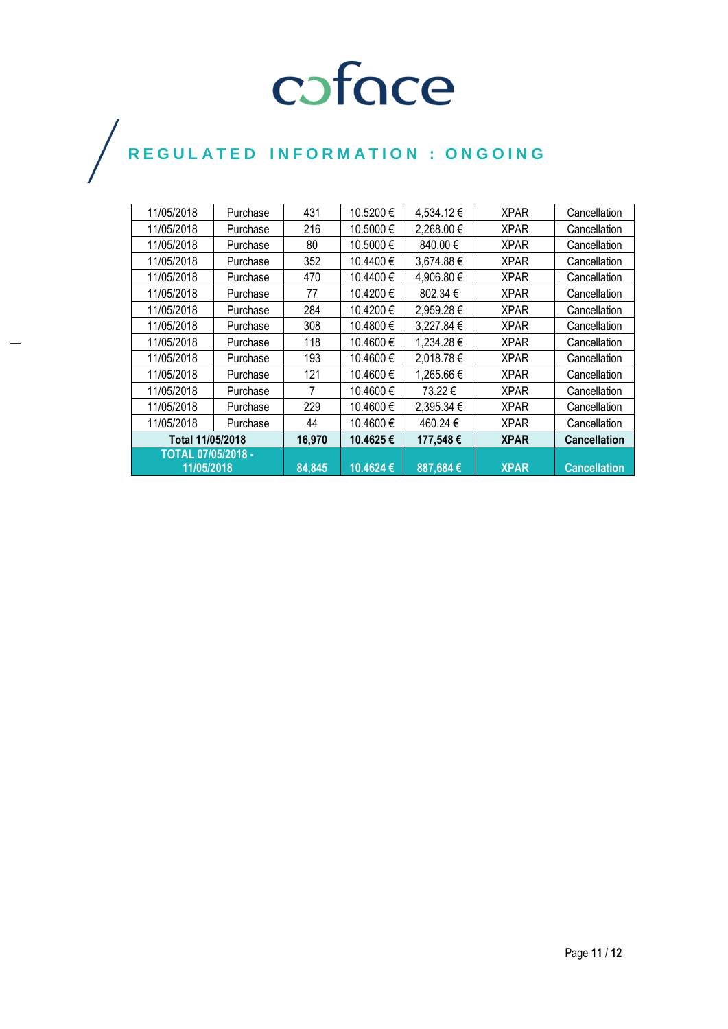| 11/05/2018                | Purchase | 431    | 10.5200 € | 4,534.12€  | <b>XPAR</b> | Cancellation        |
|---------------------------|----------|--------|-----------|------------|-------------|---------------------|
| 11/05/2018                | Purchase | 216    | 10.5000€  | 2,268.00 € | <b>XPAR</b> | Cancellation        |
| 11/05/2018                | Purchase | 80     | 10.5000€  | 840.00 €   | <b>XPAR</b> | Cancellation        |
| 11/05/2018                | Purchase | 352    | 10.4400 € | 3,674.88€  | <b>XPAR</b> | Cancellation        |
| 11/05/2018                | Purchase | 470    | 10.4400€  | 4,906.80 € | <b>XPAR</b> | Cancellation        |
| 11/05/2018                | Purchase | 77     | 10.4200 € | 802.34 €   | <b>XPAR</b> | Cancellation        |
| 11/05/2018                | Purchase | 284    | 10.4200€  | 2,959.28€  | <b>XPAR</b> | Cancellation        |
| 11/05/2018                | Purchase | 308    | 10.4800€  | 3,227.84 € | <b>XPAR</b> | Cancellation        |
| 11/05/2018                | Purchase | 118    | 10.4600 € | 1,234.28€  | <b>XPAR</b> | Cancellation        |
| 11/05/2018                | Purchase | 193    | 10.4600€  | 2,018.78€  | <b>XPAR</b> | Cancellation        |
| 11/05/2018                | Purchase | 121    | 10.4600 € | 1,265.66 € | <b>XPAR</b> | Cancellation        |
| 11/05/2018                | Purchase | 7      | 10.4600 € | 73.22 €    | <b>XPAR</b> | Cancellation        |
| 11/05/2018                | Purchase | 229    | 10.4600€  | 2,395.34 € | <b>XPAR</b> | Cancellation        |
| 11/05/2018                | Purchase | 44     | 10.4600 € | 460.24 €   | <b>XPAR</b> | Cancellation        |
| Total 11/05/2018          |          | 16,970 | 10.4625€  | 177,548€   | <b>XPAR</b> | <b>Cancellation</b> |
| <b>TOTAL 07/05/2018 -</b> |          |        |           |            |             |                     |
| 11/05/2018                |          | 84,845 | 10.4624€  | 887,684€   | <b>XPAR</b> | <b>Cancellation</b> |